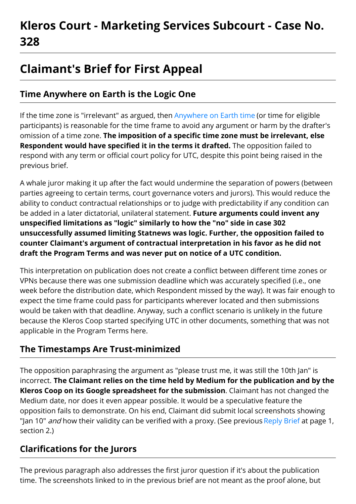# **Kleros Court - Marketing Services Subcourt - Case No. 328**

## **Claimant's Brief for First Appeal**

### **Time Anywhere on Earth is the Logic One**

If the time zone is "irrelevant" as argued, then [Anywhere](https://en.wikipedia.org/wiki/Anywhere_on_Earth) on Earth time (or time for eligible participants) is reasonable for the time frame to avoid any argument or harm by the drafter's omission of a time zone. **The imposition of a specific time zone must be irrelevant, else Respondent would have specified it in the terms it drafted.** The opposition failed to respond with any term or official court policy for UTC, despite this point being raised in the previous brief.

A whale juror making it up after the fact would undermine the separation of powers (between parties agreeing to certain terms, court governance voters and jurors). This would reduce the ability to conduct contractual relationships or to judge with predictability if any condition can be added in a later dictatorial, unilateral statement. **Future arguments could invent any unspecified limitations as "logic" similarly to how the "no" side in case 302 unsuccessfully assumed limiting Statnews was logic. Further, the opposition failed to counter Claimant's argument of contractual interpretation in his favor as he did not draft the Program Terms and was never put on notice of a UTC condition.**

This interpretation on publication does not create a conflict between different time zones or VPNs because there was one submission deadline which was accurately specified (i.e., one week before the distribution date, which Respondent missed by the way). It was fair enough to expect the time frame could pass for participants wherever located and then submissions would be taken with that deadline. Anyway, such a conflict scenario is unlikely in the future because the Kleros Coop started specifying UTC in other documents, something that was not applicable in the Program Terms here.

#### **The Timestamps Are Trust-minimized**

The opposition paraphrasing the argument as "please trust me, it was still the 10th Jan" is incorrect. **The Claimant relies on the time held by Medium for the publication and by the Kleros Coop on its Google spreadsheet for the submission**. Claimant has not changed the Medium date, nor does it even appear possible. It would be a speculative feature the opposition fails to demonstrate. On his end, Claimant did submit local screenshots showing "Jan 10" *and* how their validity can be verified with a proxy. (See previous [Reply](https://ipfs.kleros.io/ipfs/QmbgpPKC19CUF2xbdW3U4hKFvd6ins3gNUAEHKWA4Jw8xz/Reply%20Brief%20in%20Response%20to%20Opposition%20Based%20on%20Publication%20Date.pdf) Brief at page 1, section 2.)

#### **Clarifications for the Jurors**

The previous paragraph also addresses the first juror question if it's about the publication time. The screenshots linked to in the previous brief are not meant as the proof alone, but